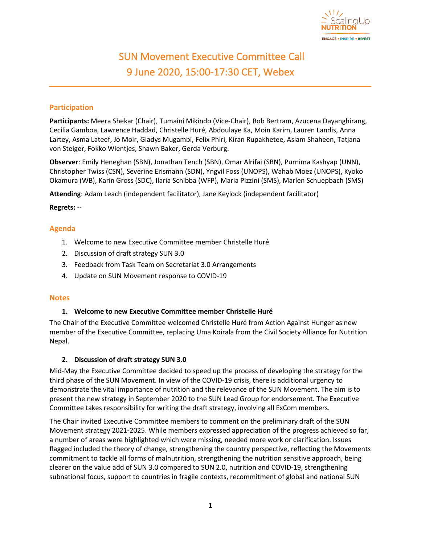

# SUN Movement Executive Committee Call 9 June 2020, 15:00-17:30 CET, Webex

## **Participation**

**Participants:** Meera Shekar (Chair), Tumaini Mikindo (Vice-Chair), Rob Bertram, Azucena Dayanghirang, Cecilia Gamboa, Lawrence Haddad, Christelle Huré, Abdoulaye Ka, Moin Karim, Lauren Landis, Anna Lartey, Asma Lateef, Jo Moir, Gladys Mugambi, Felix Phiri, Kiran Rupakhetee, Aslam Shaheen, Tatjana von Steiger, Fokko Wientjes, Shawn Baker, Gerda Verburg.

**Observer**: Emily Heneghan (SBN), Jonathan Tench (SBN), Omar Alrifai (SBN), Purnima Kashyap (UNN), Christopher Twiss (CSN), Severine Erismann (SDN), Yngvil Foss (UNOPS), Wahab Moez (UNOPS), Kyoko Okamura (WB), Karin Gross (SDC), Ilaria Schibba (WFP), Maria Pizzini (SMS), Marlen Schuepbach (SMS)

**Attending**: Adam Leach (independent facilitator), Jane Keylock (independent facilitator)

#### **Regrets:** --

## **Agenda**

- 1. Welcome to new Executive Committee member Christelle Huré
- 2. Discussion of draft strategy SUN 3.0
- 3. Feedback from Task Team on Secretariat 3.0 Arrangements
- 4. Update on SUN Movement response to COVID-19

#### **Notes**

#### **1. Welcome to new Executive Committee member Christelle Huré**

The Chair of the Executive Committee welcomed Christelle Huré from Action Against Hunger as new member of the Executive Committee, replacing Uma Koirala from the Civil Society Alliance for Nutrition Nepal.

#### **2. Discussion of draft strategy SUN 3.0**

Mid-May the Executive Committee decided to speed up the process of developing the strategy for the third phase of the SUN Movement. In view of the COVID-19 crisis, there is additional urgency to demonstrate the vital importance of nutrition and the relevance of the SUN Movement. The aim is to present the new strategy in September 2020 to the SUN Lead Group for endorsement. The Executive Committee takes responsibility for writing the draft strategy, involving all ExCom members.

The Chair invited Executive Committee members to comment on the preliminary draft of the SUN Movement strategy 2021-2025. While members expressed appreciation of the progress achieved so far, a number of areas were highlighted which were missing, needed more work or clarification. Issues flagged included the theory of change, strengthening the country perspective, reflecting the Movements commitment to tackle all forms of malnutrition, strengthening the nutrition sensitive approach, being clearer on the value add of SUN 3.0 compared to SUN 2.0, nutrition and COVID-19, strengthening subnational focus, support to countries in fragile contexts, recommitment of global and national SUN